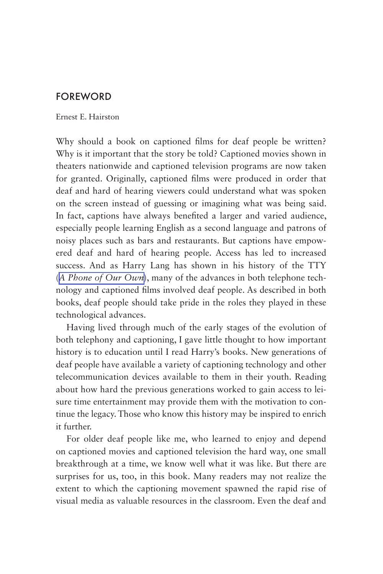## FOREWORD

## Ernest E. Hairston

Why should a book on captioned films for deaf people be written? Why is it important that the story be told? Captioned movies shown in theaters nationwide and captioned television programs are now taken for granted. Originally, captioned films were produced in order that deaf and hard of hearing viewers could understand what was spoken on the screen instead of guessing or imagining what was being said. In fact, captions have always benefited a larger and varied audience, especially people learning English as a second language and patrons of noisy places such as bars and restaurants. But captions have empowered deaf and hard of hearing people. Access has led to increased success. And as Harry Lang has shown in his history of the TTY (*[A Phone of Our Own](http://gupress.gallaudet.edu/POOO.html)*), many of the advances in both telephone technology and captioned films involved deaf people. As described in both books, deaf people should take pride in the roles they played in these technological advances.

Having lived through much of the early stages of the evolution of both telephony and captioning, I gave little thought to how important history is to education until I read Harry's books. New generations of deaf people have available a variety of captioning technology and other telecommunication devices available to them in their youth. Reading about how hard the previous generations worked to gain access to leisure time entertainment may provide them with the motivation to continue the legacy. Those who know this history may be inspired to enrich it further.

For older deaf people like me, who learned to enjoy and depend on captioned movies and captioned television the hard way, one small breakthrough at a time, we know well what it was like. But there are surprises for us, too, in this book. Many readers may not realize the extent to which the captioning movement spawned the rapid rise of visual media as valuable resources in the classroom. Even the deaf and